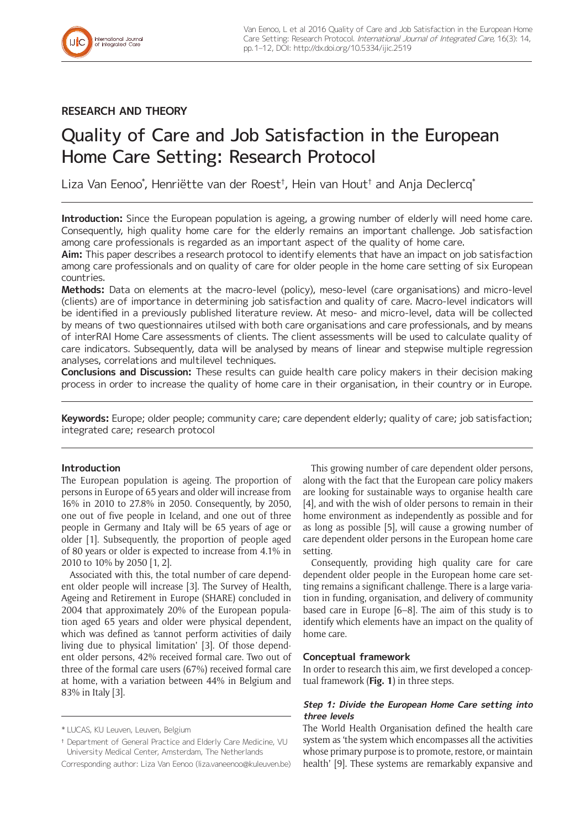# **RESEARCH AND THEORY**

# Quality of Care and Job Satisfaction in the European Home Care Setting: Research Protocol

Liza Van Eenoo\* , Henriëtte van der Roest† , Hein van Hout† and Anja Declercq\*

Introduction: Since the European population is ageing, a growing number of elderly will need home care. Consequently, high quality home care for the elderly remains an important challenge. Job satisfaction among care professionals is regarded as an important aspect of the quality of home care.

**Aim:** This paper describes a research protocol to identify elements that have an impact on job satisfaction among care professionals and on quality of care for older people in the home care setting of six European countries.

**Methods:** Data on elements at the macro-level (policy), meso-level (care organisations) and micro-level (clients) are of importance in determining job satisfaction and quality of care. Macro-level indicators will be identified in a previously published literature review. At meso- and micro-level, data will be collected by means of two questionnaires utilsed with both care organisations and care professionals, and by means of interRAI Home Care assessments of clients. The client assessments will be used to calculate quality of care indicators. Subsequently, data will be analysed by means of linear and stepwise multiple regression analyses, correlations and multilevel techniques.

**Conclusions and Discussion:** These results can guide health care policy makers in their decision making process in order to increase the quality of home care in their organisation, in their country or in Europe.

**Keywords:** Europe; older people; community care; care dependent elderly; quality of care; job satisfaction; integrated care; research protocol

# **Introduction**

The European population is ageing. The proportion of persons in Europe of 65 years and older will increase from 16% in 2010 to 27.8% in 2050. Consequently, by 2050, one out of five people in Iceland, and one out of three people in Germany and Italy will be 65 years of age or older [1]. Subsequently, the proportion of people aged of 80 years or older is expected to increase from 4.1% in 2010 to 10% by 2050 [1, 2].

Associated with this, the total number of care dependent older people will increase [3]. The Survey of Health, Ageing and Retirement in Europe (SHARE) concluded in 2004 that approximately 20% of the European population aged 65 years and older were physical dependent, which was defined as 'cannot perform activities of daily living due to physical limitation' [3]. Of those dependent older persons, 42% received formal care. Two out of three of the formal care users (67%) received formal care at home, with a variation between 44% in Belgium and 83% in Italy [3].

Corresponding author: Liza Van Eenoo [\(liza.vaneenoo@kuleuven.be\)](mailto:liza.vaneenoo@kuleuven.be)

This growing number of care dependent older persons, along with the fact that the European care policy makers are looking for sustainable ways to organise health care [4], and with the wish of older persons to remain in their home environment as independently as possible and for as long as possible [5], will cause a growing number of care dependent older persons in the European home care setting.

Consequently, providing high quality care for care dependent older people in the European home care setting remains a significant challenge. There is a large variation in funding, organisation, and delivery of community based care in Europe [6–8]. The aim of this study is to identify which elements have an impact on the quality of home care.

# **Conceptual framework**

In order to research this aim, we first developed a conceptual framework (**Fig. 1**) in three steps.

# **Step 1: Divide the European Home Care setting into three levels**

The World Health Organisation defined the health care system as 'the system which encompasses all the activities whose primary purpose is to promote, restore, or maintain health' [9]. These systems are remarkably expansive and

<sup>\*</sup> LUCAS, KU Leuven, Leuven, Belgium

<sup>†</sup> Department of General Practice and Elderly Care Medicine, VU University Medical Center, Amsterdam, The Netherlands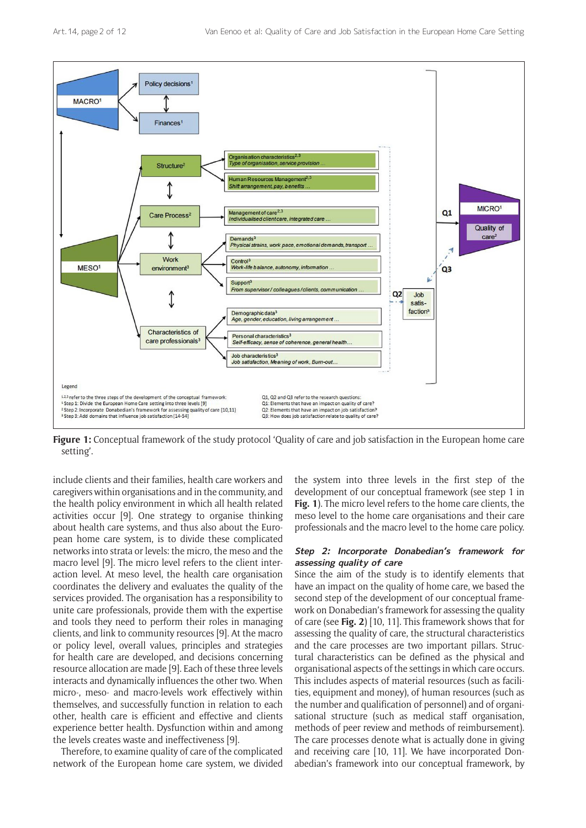

**Figure 1:** Conceptual framework of the study protocol 'Quality of care and job satisfaction in the European home care setting'.

include clients and their families, health care workers and caregivers within organisations and in the community, and the health policy environment in which all health related activities occur [9]. One strategy to organise thinking about health care systems, and thus also about the European home care system, is to divide these complicated networks into strata or levels: the micro, the meso and the macro level [9]. The micro level refers to the client interaction level. At meso level, the health care organisation coordinates the delivery and evaluates the quality of the services provided. The organisation has a responsibility to unite care professionals, provide them with the expertise and tools they need to perform their roles in managing clients, and link to community resources [9]. At the macro or policy level, overall values, principles and strategies for health care are developed, and decisions concerning resource allocation are made [9]. Each of these three levels interacts and dynamically influences the other two. When micro-, meso- and macro-levels work effectively within themselves, and successfully function in relation to each other, health care is efficient and effective and clients experience better health. Dysfunction within and among the levels creates waste and ineffectiveness [9].

Therefore, to examine quality of care of the complicated network of the European home care system, we divided the system into three levels in the first step of the development of our conceptual framework (see step 1 in **Fig. 1**). The micro level refers to the home care clients, the meso level to the home care organisations and their care professionals and the macro level to the home care policy.

# **Step 2: Incorporate Donabedian's framework for assessing quality of care**

Since the aim of the study is to identify elements that have an impact on the quality of home care, we based the second step of the development of our conceptual framework on Donabedian's framework for assessing the quality of care (see **Fig. 2**) [10, 11]. This framework shows that for assessing the quality of care, the structural characteristics and the care processes are two important pillars. Structural characteristics can be defined as the physical and organisational aspects of the settings in which care occurs. This includes aspects of material resources (such as facilities, equipment and money), of human resources (such as the number and qualification of personnel) and of organisational structure (such as medical staff organisation, methods of peer review and methods of reimbursement). The care processes denote what is actually done in giving and receiving care [10, 11]. We have incorporated Donabedian's framework into our conceptual framework, by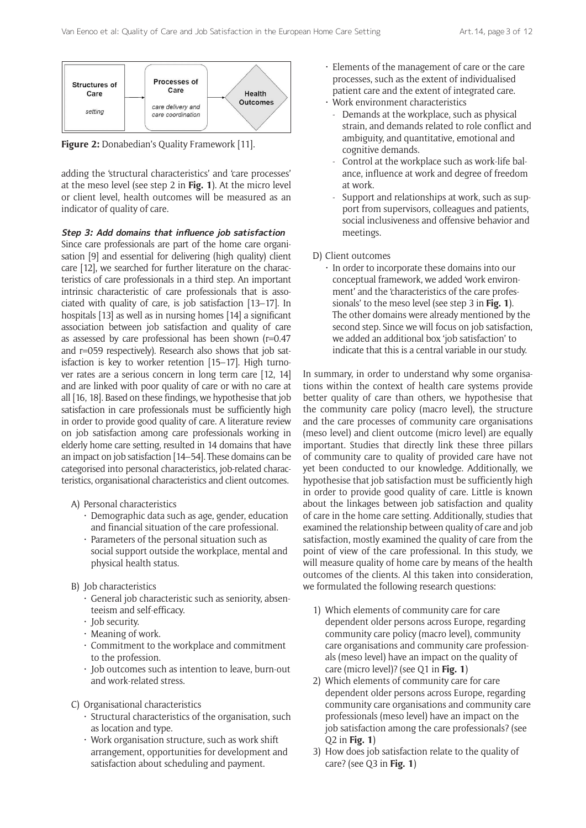

**Figure 2:** Donabedian's Quality Framework [11].

adding the 'structural characteristics' and 'care processes' at the meso level (see step 2 in **Fig. 1**). At the micro level or client level, health outcomes will be measured as an indicator of quality of care.

**Step 3: Add domains that influence job satisfaction**

Since care professionals are part of the home care organisation [9] and essential for delivering (high quality) client care [12], we searched for further literature on the characteristics of care professionals in a third step. An important intrinsic characteristic of care professionals that is associated with quality of care, is job satisfaction [13–17]. In hospitals [13] as well as in nursing homes [14] a significant association between job satisfaction and quality of care as assessed by care professional has been shown (r=0.47 and r=059 respectively). Research also shows that job satisfaction is key to worker retention [15–17]. High turnover rates are a serious concern in long term care [12, 14] and are linked with poor quality of care or with no care at all [16, 18]. Based on these findings, we hypothesise that job satisfaction in care professionals must be sufficiently high in order to provide good quality of care. A literature review on job satisfaction among care professionals working in elderly home care setting, resulted in 14 domains that have an impact on job satisfaction [14–54]. These domains can be categorised into personal characteristics, job-related characteristics, organisational characteristics and client outcomes.

- A) Personal characteristics
	- Demographic data such as age, gender, education and financial situation of the care professional.
	- Parameters of the personal situation such as social support outside the workplace, mental and physical health status.
- B) Job characteristics
	- General job characteristic such as seniority, absenteeism and self-efficacy.
	- Job security.
	- Meaning of work.
	- Commitment to the workplace and commitment to the profession.
	- Job outcomes such as intention to leave, burn-out and work-related stress.
- C) Organisational characteristics
	- Structural characteristics of the organisation, such as location and type.
	- Work organisation structure, such as work shift arrangement, opportunities for development and satisfaction about scheduling and payment.
- Elements of the management of care or the care processes, such as the extent of individualised patient care and the extent of integrated care.
- Work environment characteristics
	- Demands at the workplace, such as physical strain, and demands related to role conflict and ambiguity, and quantitative, emotional and cognitive demands.
	- Control at the workplace such as work-life balance, influence at work and degree of freedom at work.
	- Support and relationships at work, such as support from supervisors, colleagues and patients, social inclusiveness and offensive behavior and meetings.
- D) Client outcomes
	- In order to incorporate these domains into our conceptual framework, we added 'work environment' and the 'characteristics of the care professionals' to the meso level (see step 3 in **Fig. 1**). The other domains were already mentioned by the second step. Since we will focus on job satisfaction, we added an additional box 'job satisfaction' to indicate that this is a central variable in our study.

In summary, in order to understand why some organisations within the context of health care systems provide better quality of care than others, we hypothesise that the community care policy (macro level), the structure and the care processes of community care organisations (meso level) and client outcome (micro level) are equally important. Studies that directly link these three pillars of community care to quality of provided care have not yet been conducted to our knowledge. Additionally, we hypothesise that job satisfaction must be sufficiently high in order to provide good quality of care. Little is known about the linkages between job satisfaction and quality of care in the home care setting. Additionally, studies that examined the relationship between quality of care and job satisfaction, mostly examined the quality of care from the point of view of the care professional. In this study, we will measure quality of home care by means of the health outcomes of the clients. Al this taken into consideration, we formulated the following research questions:

- 1) Which elements of community care for care dependent older persons across Europe, regarding community care policy (macro level), community care organisations and community care professionals (meso level) have an impact on the quality of care (micro level)? (see Q1 in **Fig. 1**)
- 2) Which elements of community care for care dependent older persons across Europe, regarding community care organisations and community care professionals (meso level) have an impact on the job satisfaction among the care professionals? (see Q2 in **Fig. 1**)
- 3) How does job satisfaction relate to the quality of care? (see Q3 in **Fig. 1**)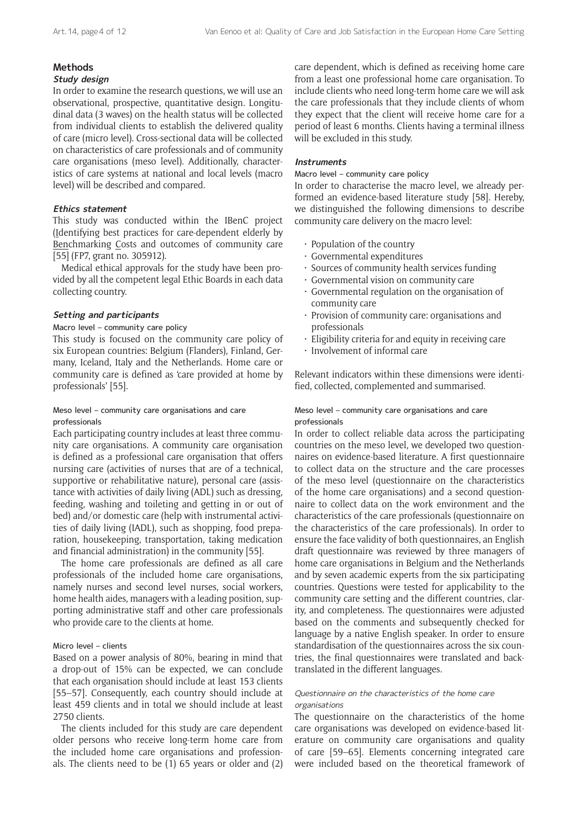# **Methods**

# **Study design**

In order to examine the research questions, we will use an observational, prospective, quantitative design. Longitudinal data (3 waves) on the health status will be collected from individual clients to establish the delivered quality of care (micro level). Cross-sectional data will be collected on characteristics of care professionals and of community care organisations (meso level). Additionally, characteristics of care systems at national and local levels (macro level) will be described and compared.

# **Ethics statement**

This study was conducted within the IBenC project (Identifying best practices for care-dependent elderly by Benchmarking Costs and outcomes of community care [55] (FP7, grant no. 305912).

Medical ethical approvals for the study have been provided by all the competent legal Ethic Boards in each data collecting country.

# **Setting and participants**

# Macro level – community care policy

This study is focused on the community care policy of six European countries: Belgium (Flanders), Finland, Germany, Iceland, Italy and the Netherlands. Home care or community care is defined as 'care provided at home by professionals' [55].

# Meso level – community care organisations and care professionals

Each participating country includes at least three community care organisations. A community care organisation is defined as a professional care organisation that offers nursing care (activities of nurses that are of a technical, supportive or rehabilitative nature), personal care (assistance with activities of daily living (ADL) such as dressing, feeding, washing and toileting and getting in or out of bed) and/or domestic care (help with instrumental activities of daily living (IADL), such as shopping, food preparation, housekeeping, transportation, taking medication and financial administration) in the community [55].

The home care professionals are defined as all care professionals of the included home care organisations, namely nurses and second level nurses, social workers, home health aides, managers with a leading position, supporting administrative staff and other care professionals who provide care to the clients at home.

# Micro level – clients

Based on a power analysis of 80%, bearing in mind that a drop-out of 15% can be expected, we can conclude that each organisation should include at least 153 clients [55–57]. Consequently, each country should include at least 459 clients and in total we should include at least 2750 clients.

The clients included for this study are care dependent older persons who receive long-term home care from the included home care organisations and professionals. The clients need to be (1) 65 years or older and (2) care dependent, which is defined as receiving home care from a least one professional home care organisation. To include clients who need long-term home care we will ask the care professionals that they include clients of whom they expect that the client will receive home care for a period of least 6 months. Clients having a terminal illness will be excluded in this study.

# **Instruments**

Macro level – community care policy

In order to characterise the macro level, we already performed an evidence-based literature study [58]. Hereby, we distinguished the following dimensions to describe community care delivery on the macro level:

- Population of the country
- Governmental expenditures
- Sources of community health services funding
- Governmental vision on community care
- Governmental regulation on the organisation of community care
- Provision of community care: organisations and professionals
- Eligibility criteria for and equity in receiving care
- Involvement of informal care

Relevant indicators within these dimensions were identified, collected, complemented and summarised.

# Meso level – community care organisations and care professionals

In order to collect reliable data across the participating countries on the meso level, we developed two questionnaires on evidence-based literature. A first questionnaire to collect data on the structure and the care processes of the meso level (questionnaire on the characteristics of the home care organisations) and a second questionnaire to collect data on the work environment and the characteristics of the care professionals (questionnaire on the characteristics of the care professionals). In order to ensure the face validity of both questionnaires, an English draft questionnaire was reviewed by three managers of home care organisations in Belgium and the Netherlands and by seven academic experts from the six participating countries. Questions were tested for applicability to the community care setting and the different countries, clarity, and completeness. The questionnaires were adjusted based on the comments and subsequently checked for language by a native English speaker. In order to ensure standardisation of the questionnaires across the six countries, the final questionnaires were translated and backtranslated in the different languages.

# Questionnaire on the characteristics of the home care organisations

The questionnaire on the characteristics of the home care organisations was developed on evidence-based literature on community care organisations and quality of care [59–65]. Elements concerning integrated care were included based on the theoretical framework of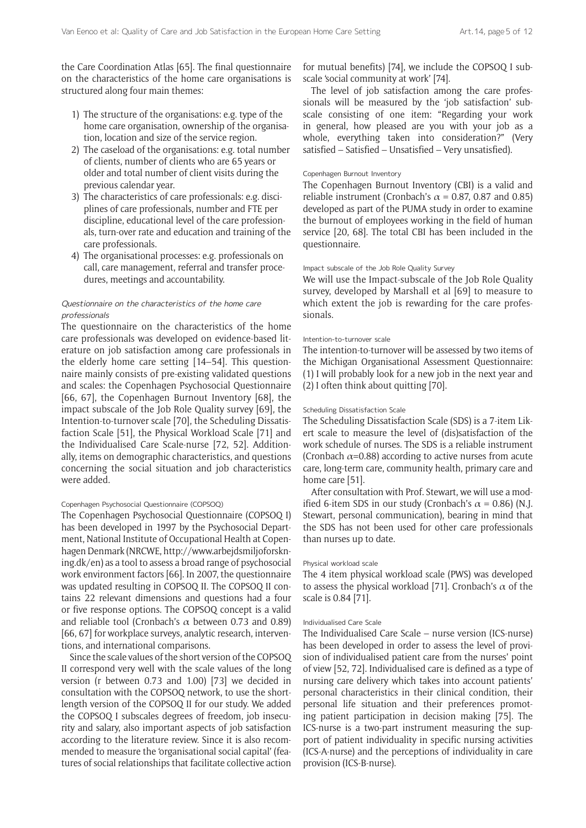the Care Coordination Atlas [65]. The final questionnaire on the characteristics of the home care organisations is structured along four main themes:

- 1) The structure of the organisations: e.g. type of the home care organisation, ownership of the organisation, location and size of the service region.
- 2) The caseload of the organisations: e.g. total number of clients, number of clients who are 65 years or older and total number of client visits during the previous calendar year.
- 3) The characteristics of care professionals: e.g. disciplines of care professionals, number and FTE per discipline, educational level of the care professionals, turn-over rate and education and training of the care professionals.
- 4) The organisational processes: e.g. professionals on call, care management, referral and transfer procedures, meetings and accountability.

## Questionnaire on the characteristics of the home care professionals

The questionnaire on the characteristics of the home care professionals was developed on evidence-based literature on job satisfaction among care professionals in the elderly home care setting [14–54]. This questionnaire mainly consists of pre-existing validated questions and scales: the Copenhagen Psychosocial Questionnaire [66, 67], the Copenhagen Burnout Inventory [68], the impact subscale of the Job Role Quality survey [69], the Intention-to-turnover scale [70], the Scheduling Dissatisfaction Scale [51], the Physical Workload Scale [71] and the Individualised Care Scale-nurse [72, 52]. Additionally, items on demographic characteristics, and questions concerning the social situation and job characteristics were added.

#### Copenhagen Psychosocial Questionnaire (COPSOQ)

The Copenhagen Psychosocial Questionnaire (COPSOQ I) has been developed in 1997 by the Psychosocial Department, National Institute of Occupational Health at Copenhagen Denmark (NRCWE, [http://www.arbejdsmiljoforskn](http://www.arbejdsmiljoforskning.dk/en)[ing.dk/en](http://www.arbejdsmiljoforskning.dk/en)) as a tool to assess a broad range of psychosocial work environment factors [66]. In 2007, the questionnaire was updated resulting in COPSOQ II. The COPSOQ II contains 22 relevant dimensions and questions had a four or five response options. The COPSOQ concept is a valid and reliable tool (Cronbach's  $\alpha$  between 0.73 and 0.89) [66, 67] for workplace surveys, analytic research, interventions, and international comparisons.

Since the scale values of the short version of the COPSOQ II correspond very well with the scale values of the long version (r between 0.73 and 1.00) [73] we decided in consultation with the COPSOQ network, to use the shortlength version of the COPSOQ II for our study. We added the COPSOQ I subscales degrees of freedom, job insecurity and salary, also important aspects of job satisfaction according to the literature review. Since it is also recommended to measure the 'organisational social capital' (features of social relationships that facilitate collective action for mutual benefits) [74], we include the COPSOQ I subscale 'social community at work' [74].

The level of job satisfaction among the care professionals will be measured by the 'job satisfaction' subscale consisting of one item: "Regarding your work in general, how pleased are you with your job as a whole, everything taken into consideration?" (Very satisfied – Satisfied – Unsatisfied – Very unsatisfied).

## Copenhagen Burnout Inventory

The Copenhagen Burnout Inventory (CBI) is a valid and reliable instrument (Cronbach's  $\alpha$  = 0.87, 0.87 and 0.85) developed as part of the PUMA study in order to examine the burnout of employees working in the field of human service [20, 68]. The total CBI has been included in the questionnaire.

#### Impact subscale of the Job Role Quality Survey

We will use the Impact-subscale of the Job Role Quality survey, developed by Marshall et al [69] to measure to which extent the job is rewarding for the care professionals.

#### Intention-to-turnover scale

The intention-to-turnover will be assessed by two items of the Michigan Organisational Assessment Questionnaire: (1) I will probably look for a new job in the next year and (2) I often think about quitting [70].

#### Scheduling Dissatisfaction Scale

The Scheduling Dissatisfaction Scale (SDS) is a 7-item Likert scale to measure the level of (dis)satisfaction of the work schedule of nurses. The SDS is a reliable instrument (Cronbach  $\alpha$ =0.88) according to active nurses from acute care, long-term care, community health, primary care and home care [51].

After consultation with Prof. Stewart, we will use a modified 6-item SDS in our study (Cronbach's  $\alpha$  = 0.86) (N.J. Stewart, personal communication), bearing in mind that the SDS has not been used for other care professionals than nurses up to date.

#### Physical workload scale

The 4 item physical workload scale (PWS) was developed to assess the physical workload [71]. Cronbach's  $\alpha$  of the scale is 0.84 [71].

#### Individualised Care Scale

The Individualised Care Scale – nurse version (ICS-nurse) has been developed in order to assess the level of provision of individualised patient care from the nurses' point of view [52, 72]. Individualised care is defined as a type of nursing care delivery which takes into account patients' personal characteristics in their clinical condition, their personal life situation and their preferences promoting patient participation in decision making [75]. The ICS-nurse is a two-part instrument measuring the support of patient individuality in specific nursing activities (ICS-A-nurse) and the perceptions of individuality in care provision (ICS-B-nurse).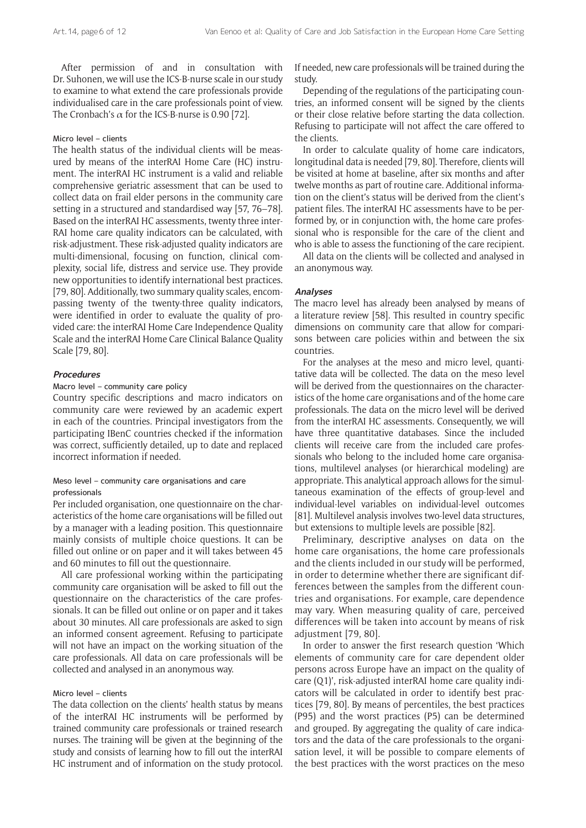After permission of and in consultation with Dr. Suhonen, we will use the ICS-B-nurse scale in our study to examine to what extend the care professionals provide individualised care in the care professionals point of view. The Cronbach's  $\alpha$  for the ICS-B-nurse is 0.90 [72].

#### Micro level – clients

The health status of the individual clients will be measured by means of the interRAI Home Care (HC) instrument. The interRAI HC instrument is a valid and reliable comprehensive geriatric assessment that can be used to collect data on frail elder persons in the community care setting in a structured and standardised way [57, 76–78]. Based on the interRAI HC assessments, twenty three inter-RAI home care quality indicators can be calculated, with risk-adjustment. These risk-adjusted quality indicators are multi-dimensional, focusing on function, clinical complexity, social life, distress and service use. They provide new opportunities to identify international best practices. [79, 80]. Additionally, two summary quality scales, encompassing twenty of the twenty-three quality indicators, were identified in order to evaluate the quality of provided care: the interRAI Home Care Independence Quality Scale and the interRAI Home Care Clinical Balance Quality Scale [79, 80].

#### **Procedures**

### Macro level – community care policy

Country specific descriptions and macro indicators on community care were reviewed by an academic expert in each of the countries. Principal investigators from the participating IBenC countries checked if the information was correct, sufficiently detailed, up to date and replaced incorrect information if needed.

# Meso level – community care organisations and care professionals

Per included organisation, one questionnaire on the characteristics of the home care organisations will be filled out by a manager with a leading position. This questionnaire mainly consists of multiple choice questions. It can be filled out online or on paper and it will takes between 45 and 60 minutes to fill out the questionnaire.

All care professional working within the participating community care organisation will be asked to fill out the questionnaire on the characteristics of the care professionals. It can be filled out online or on paper and it takes about 30 minutes. All care professionals are asked to sign an informed consent agreement. Refusing to participate will not have an impact on the working situation of the care professionals. All data on care professionals will be collected and analysed in an anonymous way.

## Micro level – clients

The data collection on the clients' health status by means of the interRAI HC instruments will be performed by trained community care professionals or trained research nurses. The training will be given at the beginning of the study and consists of learning how to fill out the interRAI HC instrument and of information on the study protocol. If needed, new care professionals will be trained during the study.

Depending of the regulations of the participating countries, an informed consent will be signed by the clients or their close relative before starting the data collection. Refusing to participate will not affect the care offered to the clients.

In order to calculate quality of home care indicators, longitudinal data is needed [79, 80]. Therefore, clients will be visited at home at baseline, after six months and after twelve months as part of routine care. Additional information on the client's status will be derived from the client's patient files. The interRAI HC assessments have to be performed by, or in conjunction with, the home care professional who is responsible for the care of the client and who is able to assess the functioning of the care recipient.

All data on the clients will be collected and analysed in an anonymous way.

#### **Analyses**

The macro level has already been analysed by means of a literature review [58]. This resulted in country specific dimensions on community care that allow for comparisons between care policies within and between the six countries.

For the analyses at the meso and micro level, quantitative data will be collected. The data on the meso level will be derived from the questionnaires on the characteristics of the home care organisations and of the home care professionals. The data on the micro level will be derived from the interRAI HC assessments. Consequently, we will have three quantitative databases. Since the included clients will receive care from the included care professionals who belong to the included home care organisations, multilevel analyses (or hierarchical modeling) are appropriate. This analytical approach allows for the simultaneous examination of the effects of group-level and individual-level variables on individual-level outcomes [81]. Multilevel analysis involves two-level data structures, but extensions to multiple levels are possible [82].

Preliminary, descriptive analyses on data on the home care organisations, the home care professionals and the clients included in our study will be performed, in order to determine whether there are significant differences between the samples from the different countries and organisations. For example, care dependence may vary. When measuring quality of care, perceived differences will be taken into account by means of risk adjustment [79, 80].

In order to answer the first research question 'Which elements of community care for care dependent older persons across Europe have an impact on the quality of care (Q1)', risk-adjusted interRAI home care quality indicators will be calculated in order to identify best practices [79, 80]. By means of percentiles, the best practices (P95) and the worst practices (P5) can be determined and grouped. By aggregating the quality of care indicators and the data of the care professionals to the organisation level, it will be possible to compare elements of the best practices with the worst practices on the meso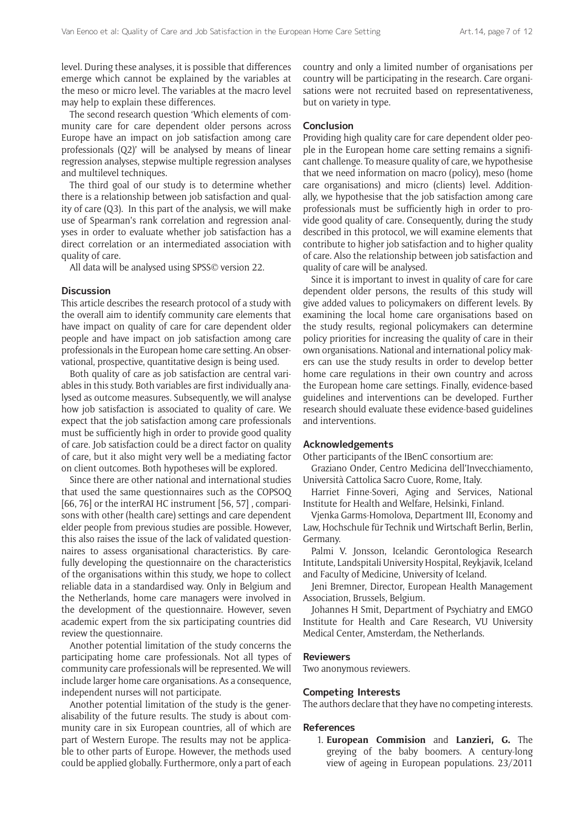level. During these analyses, it is possible that differences emerge which cannot be explained by the variables at the meso or micro level. The variables at the macro level may help to explain these differences.

The second research question 'Which elements of community care for care dependent older persons across Europe have an impact on job satisfaction among care professionals (Q2)' will be analysed by means of linear regression analyses, stepwise multiple regression analyses and multilevel techniques.

The third goal of our study is to determine whether there is a relationship between job satisfaction and quality of care (Q3). In this part of the analysis, we will make use of Spearman's rank correlation and regression analyses in order to evaluate whether job satisfaction has a direct correlation or an intermediated association with quality of care.

All data will be analysed using SPSS© version 22.

## **Discussion**

This article describes the research protocol of a study with the overall aim to identify community care elements that have impact on quality of care for care dependent older people and have impact on job satisfaction among care professionals in the European home care setting. An observational, prospective, quantitative design is being used.

Both quality of care as job satisfaction are central variables in this study. Both variables are first individually analysed as outcome measures. Subsequently, we will analyse how job satisfaction is associated to quality of care. We expect that the job satisfaction among care professionals must be sufficiently high in order to provide good quality of care. Job satisfaction could be a direct factor on quality of care, but it also might very well be a mediating factor on client outcomes. Both hypotheses will be explored.

Since there are other national and international studies that used the same questionnaires such as the COPSOQ [66, 76] or the interRAI HC instrument [56, 57], comparisons with other (health care) settings and care dependent elder people from previous studies are possible. However, this also raises the issue of the lack of validated questionnaires to assess organisational characteristics. By carefully developing the questionnaire on the characteristics of the organisations within this study, we hope to collect reliable data in a standardised way. Only in Belgium and the Netherlands, home care managers were involved in the development of the questionnaire. However, seven academic expert from the six participating countries did review the questionnaire.

Another potential limitation of the study concerns the participating home care professionals. Not all types of community care professionals will be represented. We will include larger home care organisations. As a consequence, independent nurses will not participate.

Another potential limitation of the study is the generalisability of the future results. The study is about community care in six European countries, all of which are part of Western Europe. The results may not be applicable to other parts of Europe. However, the methods used could be applied globally. Furthermore, only a part of each country and only a limited number of organisations per country will be participating in the research. Care organisations were not recruited based on representativeness, but on variety in type.

## **Conclusion**

Providing high quality care for care dependent older people in the European home care setting remains a significant challenge. To measure quality of care, we hypothesise that we need information on macro (policy), meso (home care organisations) and micro (clients) level. Additionally, we hypothesise that the job satisfaction among care professionals must be sufficiently high in order to provide good quality of care. Consequently, during the study described in this protocol, we will examine elements that contribute to higher job satisfaction and to higher quality of care. Also the relationship between job satisfaction and quality of care will be analysed.

Since it is important to invest in quality of care for care dependent older persons, the results of this study will give added values to policymakers on different levels. By examining the local home care organisations based on the study results, regional policymakers can determine policy priorities for increasing the quality of care in their own organisations. National and international policy makers can use the study results in order to develop better home care regulations in their own country and across the European home care settings. Finally, evidence-based guidelines and interventions can be developed. Further research should evaluate these evidence-based guidelines and interventions.

# **Acknowledgements**

Other participants of the IBenC consortium are:

Graziano Onder, Centro Medicina dell'Invecchiamento, Università Cattolica Sacro Cuore, Rome, Italy.

Harriet Finne-Soveri, Aging and Services, National Institute for Health and Welfare, Helsinki, Finland.

Vjenka Garms-Homolova, Department III, Economy and Law, Hochschule für Technik und Wirtschaft Berlin, Berlin, Germany.

Palmi V. Jonsson, Icelandic Gerontologica Research Intitute, Landspitali University Hospital, Reykjavik, Iceland and Faculty of Medicine, University of Iceland.

Jeni Bremner, Director, European Health Management Association, Brussels, Belgium.

Johannes H Smit, Department of Psychiatry and EMGO Institute for Health and Care Research, VU University Medical Center, Amsterdam, the Netherlands.

# **Reviewers**

Two anonymous reviewers.

# **Competing Interests**

The authors declare that they have no competing interests.

#### **References**

1. **European Commision** and **Lanzieri, G.** The greying of the baby boomers. A century-long view of ageing in European populations. 23/2011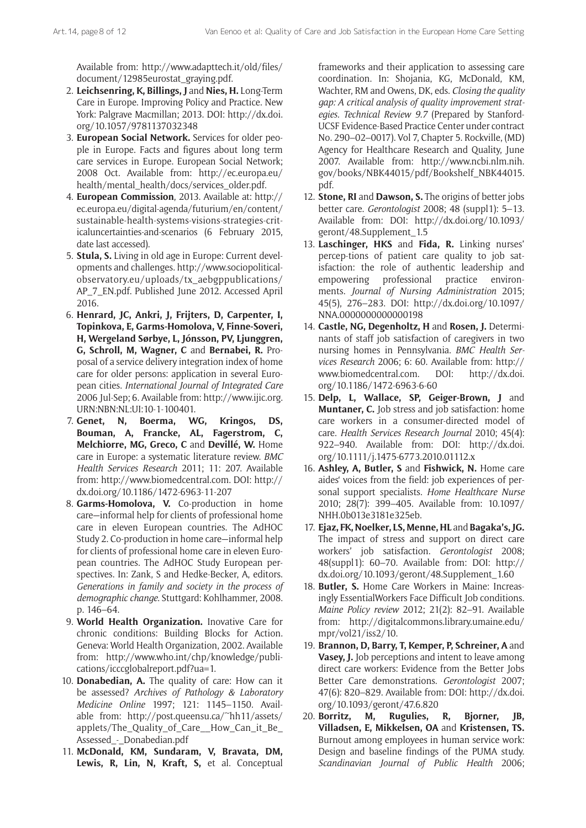Available from: [http://www.adapttech.it/old/files/](http://www.adapttech.it/old/files/document/12985eurostat_graying.pdf) [document/12985eurostat\\_graying.pdf.](http://www.adapttech.it/old/files/document/12985eurostat_graying.pdf)

- 2. **Leichsenring, K, Billings, J** and **Nies, H.** Long-Term Care in Europe. Improving Policy and Practice. New York: Palgrave Macmillan; 2013. DOI: [http://dx.doi.](http://dx.doi.org/10.1057/9781137032348) [org/10.1057/9781137032348](http://dx.doi.org/10.1057/9781137032348)
- 3. **European Social Network.** Services for older people in Europe. Facts and figures about long term care services in Europe. European Social Network; 2008 Oct. Available from: [http://ec.europa.eu/](http://ec.europa.eu/health/mental_health/docs/services_older.pdf) [health/mental\\_health/docs/services\\_older.pdf.](http://ec.europa.eu/health/mental_health/docs/services_older.pdf)
- 4. **European Commission**, 2013. Available at: http:// ec.europa.eu/digital-agenda/futurium/en/content/ sustainable-health-systems-visions-strategies-criticaluncertainties-and-scenarios (6 February 2015, date last accessed).
- 5. **Stula, S.** Living in old age in Europe: Current developments and challenges. [http://www.sociopolitical](http://www.sociopolitical-observatory.eu/uploads/tx_aebgppublications/AP_7_EN.pdf)[observatory.eu/uploads/tx\\_aebgppublications/](http://www.sociopolitical-observatory.eu/uploads/tx_aebgppublications/AP_7_EN.pdf) [AP\\_7\\_EN.pdf.](http://www.sociopolitical-observatory.eu/uploads/tx_aebgppublications/AP_7_EN.pdf) Published June 2012. Accessed April 2016.
- 6. **Henrard, JC, Ankri, J, Frijters, D, Carpenter, I, Topinkova, E, Garms-Homolova, V, Finne-Soveri, H, Wergeland Sørbye, L, Jónsson, PV, Ljunggren, G, Schroll, M, Wagner, C** and **Bernabei, R.** Proposal of a service delivery integration index of home care for older persons: application in several European cities. *International Journal of Integrated Care* 2006 Jul-Sep; 6. Available from: [http://www.ijic.org.](http://www.ijic.org.URN:NBN:NL:UI:10-1-100401) [URN:NBN:NL:UI:10-1-100401.](http://www.ijic.org.URN:NBN:NL:UI:10-1-100401)
- 7. **Genet, N, Boerma, WG, Kringos, DS, Bouman, A, Francke, AL, Fagerstrom, C, Melchiorre, MG, Greco, C** and **Devillé, W.** Home care in Europe: a systematic literature review. *BMC Health Services Research* 2011; 11: 207. Available from: [http://www.biomedcentral.com.](http://www.biomedcentral.com) DOI: [http://](http://dx.doi.org/10.1186/1472-6963-11-207) [dx.doi.org/10.1186/1472-6963-11-207](http://dx.doi.org/10.1186/1472-6963-11-207)
- 8. **Garms-Homolova, V.** Co-production in home care—informal help for clients of professional home care in eleven European countries. The AdHOC Study 2. Co-production in home care—informal help for clients of professional home care in eleven European countries. The AdHOC Study European perspectives. In: Zank, S and Hedke-Becker, A, editors. *Generations in family and society in the process of demographic change*. Stuttgard: Kohlhammer, 2008. p. 146–64.
- 9. **World Health Organization.** Inovative Care for chronic conditions: Building Blocks for Action. Geneva: World Health Organization, 2002. Available from: [http://www.who.int/chp/knowledge/publi](http://www.who.int/chp/knowledge/publications/icccglobalreport.pdf?ua=1)[cations/icccglobalreport.pdf?ua=1](http://www.who.int/chp/knowledge/publications/icccglobalreport.pdf?ua=1).
- 10. **Donabedian, A.** The quality of care: How can it be assessed? *Archives of Pathology & Laboratory Medicine Online* 1997; 121: 1145–1150. Available from: [http://post.queensu.ca/~hh11/assets/](http://post.queensu.ca/~hh11/assets/applets/The_Quality_of_Care__How_Can_it_Be_Assessed_-_Donabedian.pdf) applets/The Quality of Care How Can it Be [Assessed\\_-\\_Donabedian.pdf](http://post.queensu.ca/~hh11/assets/applets/The_Quality_of_Care__How_Can_it_Be_Assessed_-_Donabedian.pdf)
- 11. **McDonald, KM, Sundaram, V, Bravata, DM, Lewis, R, Lin, N, Kraft, S,** et al. Conceptual

frameworks and their application to assessing care coordination. In: Shojania, KG, McDonald, KM, Wachter, RM and Owens, DK, eds. *Closing the quality gap: A critical analysis of quality improvement strategies. Technical Review 9.7* (Prepared by Stanford-UCSF Evidence-Based Practice Center under contract No. 290–02–0017). Vol 7, Chapter 5. Rockville, (MD) Agency for Healthcare Research and Quality, June 2007. Available from: [http://www.ncbi.nlm.nih.](http://www.ncbi.nlm.nih.gov/books/NBK44015/pdf/Bookshelf_NBK44015.pdf) [gov/books/NBK44015/pdf/Bookshelf\\_NBK44015.](http://www.ncbi.nlm.nih.gov/books/NBK44015/pdf/Bookshelf_NBK44015.pdf) [pdf](http://www.ncbi.nlm.nih.gov/books/NBK44015/pdf/Bookshelf_NBK44015.pdf).

- 12. **Stone, RI** and **Dawson, S.** The origins of better jobs better care. *Gerontologist* 2008; 48 (suppl1): 5–13. Available from: DOI: [http://dx.doi.org/10.1093/](http://dx.doi.org/10.1093/geront/48.Supplement_1.5) [geront/48.Supplement\\_1.5](http://dx.doi.org/10.1093/geront/48.Supplement_1.5)
- 13. **Laschinger, HKS** and **Fida, R.** Linking nurses' percep-tions of patient care quality to job satisfaction: the role of authentic leadership and empowering professional practice environments. *Journal of Nursing Administration* 2015; 45(5), 276–283. DOI: [http://dx.doi.org/10.1097/](http://dx.doi.org/10.1097/NNA.0000000000000198) [NNA.0000000000000198](http://dx.doi.org/10.1097/NNA.0000000000000198)
- 14. **Castle, NG, Degenholtz, H** and **Rosen, J.** Determinants of staff job satisfaction of caregivers in two nursing homes in Pennsylvania. *BMC Health Services Research* 2006; 6: 60. Available from: [http://](http://www.biomedcentral.com) [www.biomedcentral.com](http://www.biomedcentral.com). DOI: [http://dx.doi.](http://dx.doi.org/10.1186/1472-6963-6-60) [org/10.1186/1472-6963-6-60](http://dx.doi.org/10.1186/1472-6963-6-60)
- 15. **Delp, L, Wallace, SP, Geiger-Brown, J** and **Muntaner, C.** Job stress and job satisfaction: home care workers in a consumer-directed model of care. *Health Services Research Journal* 2010; 45(4): 922–940. Available from: DOI: [http://dx.doi.](http://dx.doi.org/10.1111/j.1475-6773.2010.01112.x) [org/10.1111/j.1475-6773.2010.01112.x](http://dx.doi.org/10.1111/j.1475-6773.2010.01112.x)
- 16. **Ashley, A, Butler, S** and **Fishwick, N.** Home care aides' voices from the field: job experiences of personal support specialists. *[Home Healthcare Nurse](http://Home.Healthc.Nurse)* 2010; 28(7): 399–405. Available from: [10.1097/](http://dx.doi.org/10.1097%2FNHH.0b013e3181e325eb) [NHH.0b013e3181e325eb.](http://dx.doi.org/10.1097%2FNHH.0b013e3181e325eb)
- 17. **Ejaz, FK, Noelker, LS, Menne, HL** and **Bagaka's, JG.** The impact of stress and support on direct care workers' job satisfaction. *Gerontologist* 2008; 48(suppl1): 60–70. Available from: DOI: [http://](http://dx.doi.org/10.1093/geront/48.Supplement_1.60) [dx.doi.org/10.1093/geront/48.Supplement\\_1.60](http://dx.doi.org/10.1093/geront/48.Supplement_1.60)
- 18. **Butler, S.** Home Care Workers in Maine: Increasingly EssentialWorkers Face Difficult Job conditions. *Maine Policy review* 2012; 21(2): 82–91. Available from: [http://digitalcommons.library.umaine.edu/](http://digitalcommons.library.umaine.edu/mpr/vol21/iss2/10) [mpr/vol21/iss2/10](http://digitalcommons.library.umaine.edu/mpr/vol21/iss2/10).
- 19. **Brannon, D, Barry, T, Kemper, P, Schreiner, A** and **Vasey, J.** Job perceptions and intent to leave among direct care workers: Evidence from the Better Jobs Better Care demonstrations. *Gerontologist* 2007; 47(6): 820–829. Available from: DOI: [http://dx.doi.](http://dx.doi.org/10.1093/geront/47.6.820) [org/10.1093/geront/47.6.820](http://dx.doi.org/10.1093/geront/47.6.820)
- 20. **Borritz, M, Rugulies, R, Bjorner, JB, Villadsen, E, Mikkelsen, OA** and **Kristensen, TS.** Burnout among employees in human service work: Design and baseline findings of the PUMA study. *Scandinavian Journal of Public Health* 2006;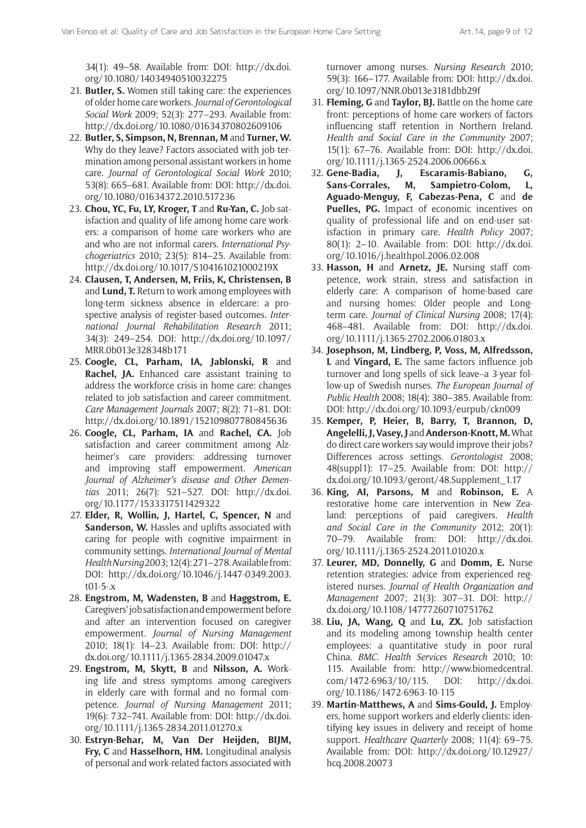34(1): 49–58. Available from: DOI: [http://dx.doi.](http://dx.doi.org/10.1080/14034940510032275) [org/10.1080/14034940510032275](http://dx.doi.org/10.1080/14034940510032275)

- 21. **Butler, S.** Women still taking care: the experiences of older home care workers. *Journal of Gerontological Social Work* 2009; 52(3): 277–293. Available from: <http://dx.doi.org/10.1080/01634370802609106>
- 22. **Butler, S, Simpson, N, Brennan, M** and **Turner, W.** Why do they leave? Factors associated with job termination among personal assistant workers in home care. *Journal of Gerontological Social Work* 2010; 53(8): 665–681. Available from: DOI: [http://dx.doi.](http://dx.doi.org/10.1080/01634372.2010.517236) [org/10.1080/01634372.2010.517236](http://dx.doi.org/10.1080/01634372.2010.517236)
- 23. **Chou, YC, Fu, LY, Kroger, T** and **Ru-Yan, C.** Job satisfaction and quality of life among home care workers: a comparison of home care workers who are and who are not informal carers. *International Psychogeriatrics* 2010; 23(5): 814–25. Available from: <http://dx.doi.org/10.1017/S104161021000219X>
- 24. **Clausen, T, Andersen, M, Friis, K, Christensen, B**  and **Lund, T.** Return to work among employees with long-term sickness absence in eldercare: a prospective analysis of register-based outcomes. *International Journal Rehabilitation Research* 2011; 34(3): 249–254. DOI: [http://dx.doi.org/10.1097/](http://dx.doi.org/10.1097/MRR.0b013e328348b171) [MRR.0b013e328348b171](http://dx.doi.org/10.1097/MRR.0b013e328348b171)
- 25. **Coogle, CL, Parham, IA, Jablonski, R** and **Rachel, JA.** Enhanced care assistant training to address the workforce crisis in home care: changes related to job satisfaction and career commitment. *Care Management Journals* 2007; 8(2): 71–81. DOI: <http://dx.doi.org/10.1891/152109807780845636>
- 26. **Coogle, CL, Parham, IA** and **Rachel, CA.** Job satisfaction and career commitment among Alzheimer's care providers: addressing turnover and improving staff empowerment. *American Journal of Alzheimer's disease and Other Dementias* 2011; 26(7): 521–527. DOI: [http://dx.doi.](http://dx.doi.org/10.1177/1533317511429322) [org/10.1177/1533317511429322](http://dx.doi.org/10.1177/1533317511429322)
- 27. **Elder, R, Wollin, J, Hartel, C, Spencer, N** and **Sanderson, W.** Hassles and uplifts associated with caring for people with cognitive impairment in community settings. *International Journal of Mental Health Nursing* 2003; 12(4): 271–278. Available from: DOI: [http://dx.doi.org/10.1046/j.1447-0349.2003.](http://dx.doi.org/10.1046/j.1447-0349.2003.t01-5-.x) [t01-5-.x](http://dx.doi.org/10.1046/j.1447-0349.2003.t01-5-.x)
- 28. **Engstrom, M, Wadensten, B** and **Haggstrom, E.** Caregivers' job satisfaction and empowerment before and after an intervention focused on caregiver empowerment. *Journal of Nursing Management*  2010; 18(1): 14–23. Available from: DOI: [http://](http://dx.doi.org/10.1111/j.1365-2834.2009.01047.x) [dx.doi.org/10.1111/j.1365-2834.2009.01047.x](http://dx.doi.org/10.1111/j.1365-2834.2009.01047.x)
- 29. **Engstrom, M, Skytt, B** and **Nilsson, A.** Working life and stress symptoms among caregivers in elderly care with formal and no formal competence. *Journal of Nursing Management* 2011; 19(6): 732–741. Available from: DOI: [http://dx.doi.](http://dx.doi.org/10.1111/j.1365-2834.2011.01270.x) [org/10.1111/j.1365-2834.2011.01270.x](http://dx.doi.org/10.1111/j.1365-2834.2011.01270.x)
- 30. **Estryn-Behar, M, Van Der Heijden, BIJM, Fry, C** and **Hasselhorn, HM.** Longitudinal analysis of personal and work-related factors associated with

turnover among nurses. *Nursing Research* 2010; 59(3): 166–177. Available from: DOI: [http://dx.doi.](http://dx.doi.org/10.1097/NNR.0b013e3181dbb29f) [org/10.1097/NNR.0b013e3181dbb29f](http://dx.doi.org/10.1097/NNR.0b013e3181dbb29f)

- 31. **Fleming, G** and **Taylor, BJ.** Battle on the home care front: perceptions of home care workers of factors influencing staff retention in Northern Ireland. *Health and Social Care in the Community* 2007; 15(1): 67–76. Available from: DOI: [http://dx.doi.](http://dx.doi.org/10.1111/j.1365-2524.2006.00666.x) [org/10.1111/j.1365-2524.2006.00666.x](http://dx.doi.org/10.1111/j.1365-2524.2006.00666.x)
- 32. **Gene-Badia, J, Escaramis-Babiano, G, Sans-Corrales, M, Sampietro-Colom, L, Aguado-Menguy, F, Cabezas-Pena, C** and **de Puelles, PG.** Impact of economic incentives on quality of professional life and on end-user satisfaction in primary care. *Health Policy* 2007; 80(1): 2–10. Available from: <DOI:> [http://dx.doi.](http://dx.doi.org/10.1016/j.healthpol.2006.02.008) [org/10.1016/j.healthpol.2006.02.008](http://dx.doi.org/10.1016/j.healthpol.2006.02.008)
- 33. **Hasson, H** and **Arnetz, JE.** Nursing staff competence, work strain, stress and satisfaction in elderly care: A comparison of home-based care and nursing homes: Older people and Longterm care. *Journal of Clinical Nursing* 2008; 17(4): 468–481. Available from: DOI: [http://dx.doi.](http://dx.doi.org/10.1111/j.1365-2702.2006.01803.x) [org/10.1111/j.1365-2702.2006.01803.x](http://dx.doi.org/10.1111/j.1365-2702.2006.01803.x)
- 34. **Josephson, M, Lindberg, P, Voss, M, Alfredsson, L** and **Vingard, E.** The same factors influence job turnover and long spells of sick leave--a 3-year follow-up of Swedish nurses. *The European Journal of Public Health* 2008; 18(4): 380–385. Available from: DOI: <http://dx.doi.org/10.1093/eurpub/ckn009>
- 35. **Kemper, P, Heier, B, Barry, T, Brannon, D, Angelelli, J, Vasey, J** and **Anderson-Knott, M.** What do direct care workers say would improve their jobs? Differences across settings. *Gerontologist* 2008; 48(suppl1): 17–25. Available from: DOI: [http://](http://dx.doi.org/10.1093/geront/48.Supplement_1.17) [dx.doi.org/10.1093/geront/48.Supplement\\_1.17](http://dx.doi.org/10.1093/geront/48.Supplement_1.17)
- 36. **King, AI, Parsons, M** and **Robinson, E.** A restorative home care intervention in New Zealand: perceptions of paid caregivers. *Health and Social Care in the Community* 2012; 20(1): 70–79. Available from: DOI: [http://dx.doi.](http://dx.doi.org/10.1111/j.1365-2524.2011.01020.x) [org/10.1111/j.1365-2524.2011.01020.x](http://dx.doi.org/10.1111/j.1365-2524.2011.01020.x)
- 37. **Leurer, MD, Donnelly, G** and **Domm, E.** Nurse retention strategies: advice from experienced registered nurses. *Journal of Health Organization and Management* 2007; 21(3): 307–31. DOI: [http://](http://dx.doi.org/10.1108/14777260710751762) [dx.doi.org/10.1108/14777260710751762](http://dx.doi.org/10.1108/14777260710751762)
- 38. **Liu, JA, Wang, Q** and **Lu, ZX.** Job satisfaction and its modeling among township health center employees: a quantitative study in poor rural China. *BMC. Health Services Research* 2010; 10: 115. Available from: [http://www.biomedcentral.](http://www.biomedcentral.com/1472-6963/10/115) [com/1472-6963/10/115](http://www.biomedcentral.com/1472-6963/10/115). DOI: [http://dx.doi.](http://dx.doi.org/10.1186/1472-6963-10-115) [org/10.1186/1472-6963-10-115](http://dx.doi.org/10.1186/1472-6963-10-115)
- 39. **Martin-Matthews, A** and **Sims-Gould, J.** Employers, home support workers and elderly clients: identifying key issues in delivery and receipt of home support. *Healthcare Quarterly* 2008; 11(4): 69–75. Available from: DOI: [http://dx.doi.org/10.12927/](http://dx.doi.org/10.12927/hcq.2008.20073) [hcq.2008.20073](http://dx.doi.org/10.12927/hcq.2008.20073)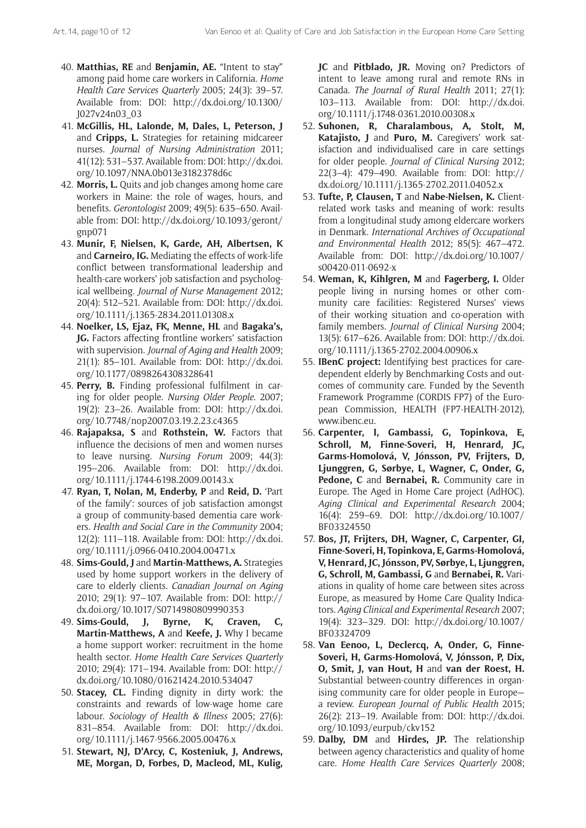- 40. **Matthias, RE** and **Benjamin, AE.** "Intent to stay" among paid home care workers in California. *Home Health Care Services Quarterly* 2005; 24(3): 39–57. Available from: DOI: [http://dx.doi.org/10.1300/](http://dx.doi.org/10.1300/J027v24n03_03) [J027v24n03\\_03](http://dx.doi.org/10.1300/J027v24n03_03)
- 41. **McGillis, HL, Lalonde, M, Dales, L, Peterson, J**  and **Cripps, L.** Strategies for retaining midcareer nurses. *Journal of Nursing Administration* 2011; 41(12): 531–537. Available from: DOI: [http://dx.doi.](http://dx.doi.org/10.1097/NNA.0b013e3182378d6c) [org/10.1097/NNA.0b013e3182378d6c](http://dx.doi.org/10.1097/NNA.0b013e3182378d6c)
- 42. **Morris, L.** Quits and job changes among home care workers in Maine: the role of wages, hours, and benefits. *Gerontologist* 2009; 49(5): 635–650. Available from: DOI: [http://dx.doi.org/10.1093/geront/](http://dx.doi.org/10.1093/geront/gnp071) [gnp071](http://dx.doi.org/10.1093/geront/gnp071)
- 43. **Munir, F, Nielsen, K, Garde, AH, Albertsen, K**  and **Carneiro, IG.** Mediating the effects of work-life conflict between transformational leadership and health-care workers' job satisfaction and psychological wellbeing. *Journal of Nurse Management* 2012; 20(4): 512–521. Available from: DOI: [http://dx.doi.](http://dx.doi.org/10.1111/j.1365-2834.2011.01308.x) [org/10.1111/j.1365-2834.2011.01308.x](http://dx.doi.org/10.1111/j.1365-2834.2011.01308.x)
- 44. **Noelker, LS, Ejaz, FK, Menne, HL** and **Bagaka's, JG.** Factors affecting frontline workers' satisfaction with supervision. *Journal of Aging and Health* 2009; 21(1): 85–101. Available from: DOI: [http://dx.doi.](http://dx.doi.org/10.1177/0898264308328641) [org/10.1177/0898264308328641](http://dx.doi.org/10.1177/0898264308328641)
- 45. **Perry, B.** Finding professional fulfilment in caring for older people. *Nursing Older People*. 2007; 19(2): 23–26. Available from: <DOI:> [http://dx.doi.](http://dx.doi.org/10.7748/nop2007.03.19.2.23.c4365) [org/10.7748/nop2007.03.19.2.23.c4365](http://dx.doi.org/10.7748/nop2007.03.19.2.23.c4365)
- 46. **Rajapaksa, S** and **Rothstein, W.** Factors that influence the decisions of men and women nurses to leave nursing. *Nursing Forum* 2009; 44(3): 195–206. Available from: DOI: [http://dx.doi.](http://dx.doi.org/10.1111/j.1744-6198.2009.00143.x) [org/10.1111/j.1744-6198.2009.00143.x](http://dx.doi.org/10.1111/j.1744-6198.2009.00143.x)
- 47. **Ryan, T, Nolan, M, Enderby, P** and **Reid, D.** 'Part of the family': sources of job satisfaction amongst a group of community-based dementia care workers. *Health and Social Care in the Community* 2004; 12(2): 111–118. Available from: DOI: [http://dx.doi.](http://dx.doi.org/10.1111/j.0966-0410.2004.00471.x) [org/10.1111/j.0966-0410.2004.00471.x](http://dx.doi.org/10.1111/j.0966-0410.2004.00471.x)
- 48. **Sims-Gould, J** and **Martin-Matthews, A.** Strategies used by home support workers in the delivery of care to elderly clients. *Canadian Journal on Aging*  2010; 29(1): 97–107. Available from: DOI: [http://](http://dx.doi.org/10.1017/S0714980809990353) [dx.doi.org/10.1017/S0714980809990353](http://dx.doi.org/10.1017/S0714980809990353)
- 49. **Sims-Gould, J, Byrne, K, Craven, C, Martin-Matthews, A** and **Keefe, J.** Why I became a home support worker: recruitment in the home health sector. *Home Health Care Services Quarterly* 2010; 29(4): 171–194. Available from: DOI: [http://](http://dx.doi.org/10.1080/01621424.2010.534047) [dx.doi.org/10.1080/01621424.2010.534047](http://dx.doi.org/10.1080/01621424.2010.534047)
- 50. **Stacey, CL.** Finding dignity in dirty work: the constraints and rewards of low-wage home care labour. *Sociology of Health & Illness* 2005; 27(6): 831–854. Available from: DOI: [http://dx.doi.](http://dx.doi.org/10.1111/j.1467-9566.2005.00476.x) [org/10.1111/j.1467-9566.2005.00476.x](http://dx.doi.org/10.1111/j.1467-9566.2005.00476.x)
- 51. **Stewart, NJ, D'Arcy, C, Kosteniuk, J, Andrews, ME, Morgan, D, Forbes, D, Macleod, ML, Kulig,**

**JC** and **Pitblado, JR.** Moving on? Predictors of intent to leave among rural and remote RNs in Canada. *The Journal of Rural Health* 2011; 27(1): 103–113. Available from: DOI: [http://dx.doi.](http://dx.doi.org/10.1111/j.1748-0361.2010.00308.x) [org/10.1111/j.1748-0361.2010.00308.x](http://dx.doi.org/10.1111/j.1748-0361.2010.00308.x)

- 52. **Suhonen, R, Charalambous, A, Stolt, M, Katajisto, J** and **Puro, M.** Caregivers' work satisfaction and individualised care in care settings for older people. *Journal of Clinical Nursing* 2012; 22(3–4): 479–490. Available from: DOI: [http://](http://dx.doi.org/10.1111/j.1365-2702.2011.04052.x) [dx.doi.org/10.1111/j.1365-2702.2011.04052.x](http://dx.doi.org/10.1111/j.1365-2702.2011.04052.x)
- 53. **Tufte, P, Clausen, T** and **Nabe-Nielsen, K.** Clientrelated work tasks and meaning of work: results from a longitudinal study among eldercare workers in Denmark. *International Archives of Occupational and Environmental Health* 2012; 85(5): 467–472. Available from: DOI: [http://dx.doi.org/10.1007/](http://dx.doi.org/10.1007/s00420-011-0692-x) [s00420-011-0692-x](http://dx.doi.org/10.1007/s00420-011-0692-x)
- 54. **Weman, K, Kihlgren, M** and **Fagerberg, I.** Older people living in nursing homes or other community care facilities: Registered Nurses' views of their working situation and co-operation with family members. *Journal of Clinical Nursing* 2004; 13(5): 617–626. Available from: DOI: [http://dx.doi.](http://dx.doi.org/10.1111/j.1365-2702.2004.00906.x) [org/10.1111/j.1365-2702.2004.00906.x](http://dx.doi.org/10.1111/j.1365-2702.2004.00906.x)
- 55. **IBenC project:** Identifying best practices for caredependent elderly by Benchmarking Costs and outcomes of community care. Funded by the Seventh Framework Programme (CORDIS FP7) of the European Commission, HEALTH (FP7-HEALTH-2012), [www.ibenc.eu.](http://www.ibenc.eu)
- 56. **Carpenter, I, Gambassi, G, Topinkova, E, Schroll, M, Finne-Soveri, H, Henrard, JC, Garms-Homolová, V, Jónsson, PV, Frijters, D, Ljunggren, G, Sørbye, L, Wagner, C, Onder, G, Pedone, C** and **Bernabei, R.** Community care in Europe. The Aged in Home Care project (AdHOC). *Aging Clinical and Experimental Research* 2004; 16(4): 259–69. DOI: [http://dx.doi.org/10.1007/](http://dx.doi.org/10.1007/BF03324550) [BF03324550](http://dx.doi.org/10.1007/BF03324550)
- 57. **Bos, JT, Frijters, DH, Wagner, C, Carpenter, GI, Finne-Soveri, H, Topinkova, E, Garms-Homolová, V, Henrard, JC, Jónsson, PV, Sørbye, L, Ljunggren, G, Schroll, M, Gambassi, G** and **Bernabei, R.** Variations in quality of home care between sites across Europe, as measured by Home Care Quality Indicators. *Aging Clinical and Experimental Research* 2007; 19(4): 323–329. DOI: [http://dx.doi.org/10.1007/](http://dx.doi.org/10.1007/BF03324709) [BF03324709](http://dx.doi.org/10.1007/BF03324709)
- 58. **Van Eenoo, L, Declercq, A, Onder, G, Finne-Soveri, H, Garms-Homolová, V, Jónsson, P, Dix, O, Smit, J, van Hout, H** and **van der Roest, H.** Substantial between-country differences in organising community care for older people in Europe a review. *European Journal of Public Health* 2015; 26(2): 213–19. Available from: DOI: [http://dx.doi.](http://dx.doi.org/10.1093/eurpub/ckv152) [org/10.1093/eurpub/ckv152](http://dx.doi.org/10.1093/eurpub/ckv152)
- 59. **Dalby, DM** and **Hirdes, JP.** The relationship between agency characteristics and quality of home care. *Home Health Care Services Quarterly* 2008;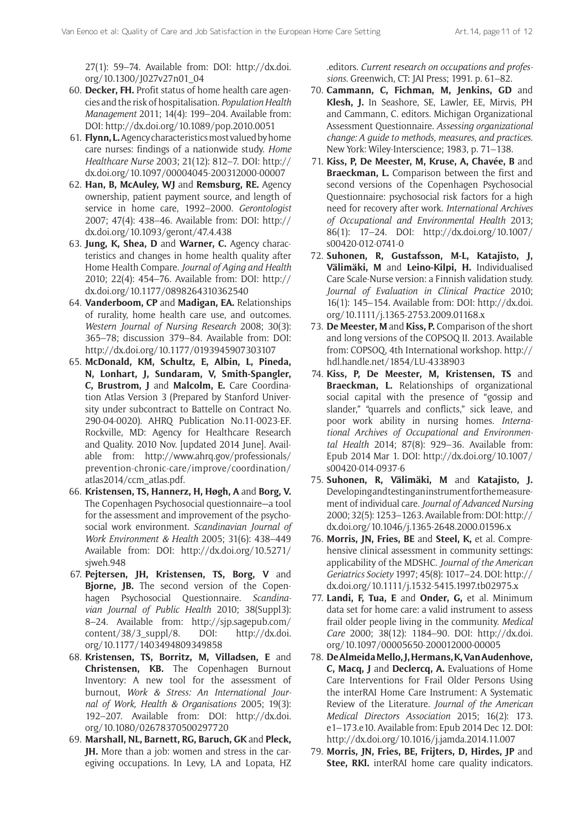27(1): 59–74. Available from: DOI: [http://dx.doi.](http://dx.doi.org/10.1300/J027v27n01_04) [org/10.1300/J027v27n01\\_04](http://dx.doi.org/10.1300/J027v27n01_04)

- 60. **Decker, FH.** Profit status of home health care agencies and the risk of hospitalisation. *Population Health Management* 2011; 14(4): 199–204. Available from: DOI:<http://dx.doi.org/10.1089/pop.2010.0051>
- 61. **Flynn, L.** Agency characteristics most valued by home care nurses: findings of a nationwide study. *Home Healthcare Nurse* 2003; 21(12): 812–7. DOI: [http://](http://dx.doi.org/10.1097/00004045-200312000-00007) [dx.doi.org/10.1097/00004045-200312000-00007](http://dx.doi.org/10.1097/00004045-200312000-00007)
- 62. **Han, B, McAuley, WJ** and **Remsburg, RE.** Agency ownership, patient payment source, and length of service in home care, 1992–2000. *Gerontologist*  2007; 47(4): 438–46. Available from: DOI: [http://](http://dx.doi.org/10.1093/geront/47.4.438) [dx.doi.org/10.1093/geront/47.4.438](http://dx.doi.org/10.1093/geront/47.4.438)
- 63. **Jung, K, Shea, D** and **Warner, C.** Agency characteristics and changes in home health quality after Home Health Compare. *Journal of Aging and Health*  2010; 22(4): 454–76. Available from: DOI: [http://](http://dx.doi.org/10.1177/0898264310362540) [dx.doi.org/10.1177/0898264310362540](http://dx.doi.org/10.1177/0898264310362540)
- 64. **Vanderboom, CP** and **Madigan, EA.** Relationships of rurality, home health care use, and outcomes. *Western Journal of Nursing Research* 2008; 30(3): 365–78; discussion 379–84. Available from: DOI: <http://dx.doi.org/10.1177/0193945907303107>
- 65. **McDonald, KM, Schultz, E, Albin, L, Pineda, N, Lonhart, J, Sundaram, V, Smith-Spangler, C, Brustrom, J** and **Malcolm, E.** Care Coordination Atlas Version 3 (Prepared by Stanford University under subcontract to Battelle on Contract No. 290-04-0020). AHRQ Publication No.11-0023-EF. Rockville, MD: Agency for Healthcare Research and Quality. 2010 Nov. [updated 2014 June]. Available from: [http://www.ahrq.gov/professionals/](http://www.ahrq.gov/professionals/prevention-chronic-care/improve/coordination/atlas2014/ccm_atlas.pdf) [prevention-chronic-care/improve/coordination/](http://www.ahrq.gov/professionals/prevention-chronic-care/improve/coordination/atlas2014/ccm_atlas.pdf) [atlas2014/ccm\\_atlas.pdf.](http://www.ahrq.gov/professionals/prevention-chronic-care/improve/coordination/atlas2014/ccm_atlas.pdf)
- 66. **Kristensen, TS, Hannerz, H, Høgh, A** and **Borg, V.** The Copenhagen Psychosocial questionnaire—a tool for the assessment and improvement of the psychosocial work environment. *Scandinavian Journal of Work Environment & Health* 2005; 31(6): 438–449 Available from: DOI: [http://dx.doi.org/10.5271/](http://dx.doi.org/10.5271/sjweh.948) siweh.948
- 67. **Pejtersen, JH, Kristensen, TS, Borg, V** and **Bjorne, JB.** The second version of the Copenhagen Psychosocial Questionnaire. *Scandinavian Journal of Public Health* 2010; 38(Suppl3): 8–24. Available from: [http://sjp.sagepub.com/](http://sjp.sagepub.com/content/38/3_suppl/8) [content/38/3\\_suppl/8.](http://sjp.sagepub.com/content/38/3_suppl/8) DOI: [http://dx.doi.](http://dx.doi.org/10.1177/1403494809349858) [org/10.1177/1403494809349858](http://dx.doi.org/10.1177/1403494809349858)
- 68. **Kristensen, TS, Borritz, M, Villadsen, E** and **Christensen, KB.** The Copenhagen Burnout Inventory: A new tool for the assessment of burnout, *Work & Stress: An International Journal of Work, Health & Organisations* 2005; 19(3): 192–207. Available from: DOI: [http://dx.doi.](http://dx.doi.org/10.1080/02678370500297720) [org/10.1080/02678370500297720](http://dx.doi.org/10.1080/02678370500297720)
- 69. **Marshall, NL, Barnett, RG, Baruch, GK** and **Pleck, JH.** More than a job: women and stress in the caregiving occupations. In Levy, LA and Lopata, HZ

.editors. *Current research on occupations and professions*. Greenwich, CT: JAI Press; 1991. p. 61–82.

- 70. **Cammann, C, Fichman, M, Jenkins, GD** and **Klesh, J.** In Seashore, SE, Lawler, EE, Mirvis, PH and Cammann, C. editors. Michigan Organizational Assessment Questionnaire. *Assessing organizational change: A guide to methods, measures, and practices*. New York: Wiley-Interscience; 1983, p. 71–138.
- 71. **Kiss, P, De Meester, M, Kruse, A, Chavée, B** and **Braeckman, L.** Comparison between the first and second versions of the Copenhagen Psychosocial Questionnaire: psychosocial risk factors for a high need for recovery after work. *International Archives of Occupational and Environmental Health* 2013; 86(1): 17–24. DOI: [http://dx.doi.org/10.1007/](http://dx.doi.org/10.1007/s00420-012-0741-0) [s00420-012-0741-0](http://dx.doi.org/10.1007/s00420-012-0741-0)
- 72. **Suhonen, R, Gustafsson, M-L, Katajisto, J, Välimäki, M** and **Leino-Kilpi, H.** Individualised Care Scale-Nurse version: a Finnish validation study. *Journal of Evaluation in Clinical Practice* 2010; 16(1): 145–154. Available from: DOI: [http://dx.doi.](http://dx.doi.org/10.1111/j.1365-2753.2009.01168.x) [org/10.1111/j.1365-2753.2009.01168.x](http://dx.doi.org/10.1111/j.1365-2753.2009.01168.x)
- 73. **[De Meester,](https://biblio.ugent.be/person/801001328553) M** and **[Kiss,](https://biblio.ugent.be/person/801001109089) P.** Comparison of the short and long versions of the COPSOQ II. 2013. Available from: [COPSOQ, 4th International workshop.](\\luna.kuleuven.be\Shares\GBW-0077_LUCAS\0007_RAI\IBenC2013\protocolPHD\COPSOQ, 4th International workshop) [http://](http://hdl.handle.net/1854/LU-4338903) [hdl.handle.net/1854/LU-4338903](http://hdl.handle.net/1854/LU-4338903)
- 74. **Kiss, P, [De Meester, M,](http://www.ncbi.nlm.nih.gov/pubmed/?term=De%20Meester%20M%5BAuthor%5D&cauthor=true&cauthor_uid=24577806) [Kristensen, TS](http://www.ncbi.nlm.nih.gov/pubmed/?term=Kristensen%20TS%5BAuthor%5D&cauthor=true&cauthor_uid=24577806)** and **[Braeckman, L](http://www.ncbi.nlm.nih.gov/pubmed/?term=Braeckman%20L%5BAuthor%5D&cauthor=true&cauthor_uid=24577806).** Relationships of organizational social capital with the presence of "gossip and slander," "quarrels and conflicts," sick leave, and poor work ability in nursing homes. *International Archives of Occupational and Environmental Health* 2014; 87(8): 929–36. Available from: Epub 2014 Mar 1. DOI: [http://dx.doi.org/10.1007/](http://dx.doi.org/10.1007/s00420-014-0937-6) [s00420-014-0937-6](http://dx.doi.org/10.1007/s00420-014-0937-6)
- 75. **Suhonen, R, Välimäki, M** and **Katajisto, J.** Developing and testing an instrument for the measurement of individual care. *Journal of Advanced Nursing*  2000; 32(5): 1253–1263. Available from: DOI: [http://](http://dx.doi.org/10.1046/j.1365-2648.2000.01596.x) [dx.doi.org/10.1046/j.1365-2648.2000.01596.x](http://dx.doi.org/10.1046/j.1365-2648.2000.01596.x)
- 76. **Morris, JN, Fries, BE** and **Steel, K,** et al. Comprehensive clinical assessment in community settings: applicability of the MDSHC. *Journal of the American Geriatrics Society* 1997; 45(8): 1017–24. DOI: [http://](http://dx.doi.org/10.1111/j.1532-5415.1997.tb02975.x) [dx.doi.org/10.1111/j.1532-5415.1997.tb02975.x](http://dx.doi.org/10.1111/j.1532-5415.1997.tb02975.x)
- 77. **Landi, F, Tua, E** and **Onder, G,** et al. Minimum data set for home care: a valid instrument to assess frail older people living in the community. *Medical Care* 2000; 38(12): 1184–90. DOI: [http://dx.doi.](http://dx.doi.org/10.1097/00005650-200012000-00005) [org/10.1097/00005650-200012000-00005](http://dx.doi.org/10.1097/00005650-200012000-00005)
- 78. **[De Almeida Mello, J](http://www.ncbi.nlm.nih.gov/pubmed/?term=De%20Almeida%20Mello%20J%5BAuthor%5D&cauthor=true&cauthor_uid=25512214), [Hermans, K,](http://www.ncbi.nlm.nih.gov/pubmed/?term=Hermans%20K%5BAuthor%5D&cauthor=true&cauthor_uid=25512214) [Van Audenhove,](http://www.ncbi.nlm.nih.gov/pubmed/?term=Van%20Audenhove%20C%5BAuthor%5D&cauthor=true&cauthor_uid=25512214) [C,](http://www.ncbi.nlm.nih.gov/pubmed/?term=Van%20Audenhove%20C%5BAuthor%5D&cauthor=true&cauthor_uid=25512214) [Macq, J](http://www.ncbi.nlm.nih.gov/pubmed/?term=Macq%20J%5BAuthor%5D&cauthor=true&cauthor_uid=25512214)** and **[Declercq, A](http://www.ncbi.nlm.nih.gov/pubmed/?term=Declercq%20A%5BAuthor%5D&cauthor=true&cauthor_uid=25512214).** Evaluations of Home Care Interventions for Frail Older Persons Using the interRAI Home Care Instrument: A Systematic Review of the Literature. *[Journal of the American](http://www.ncbi.nlm.nih.gov/pubmed/25512214) [Medical Directors Associ](http://www.ncbi.nlm.nih.gov/pubmed/25512214)ation* 2015; 16(2): 173. e1–173.e10. Available from: Epub 2014 Dec 12. DOI: <http://dx.doi.org/10.1016/j.jamda.2014.11.007>
- 79. **Morris, JN, Fries, BE, Frijters, D, Hirdes, JP** and **Stee, RKl.** interRAI home care quality indicators.